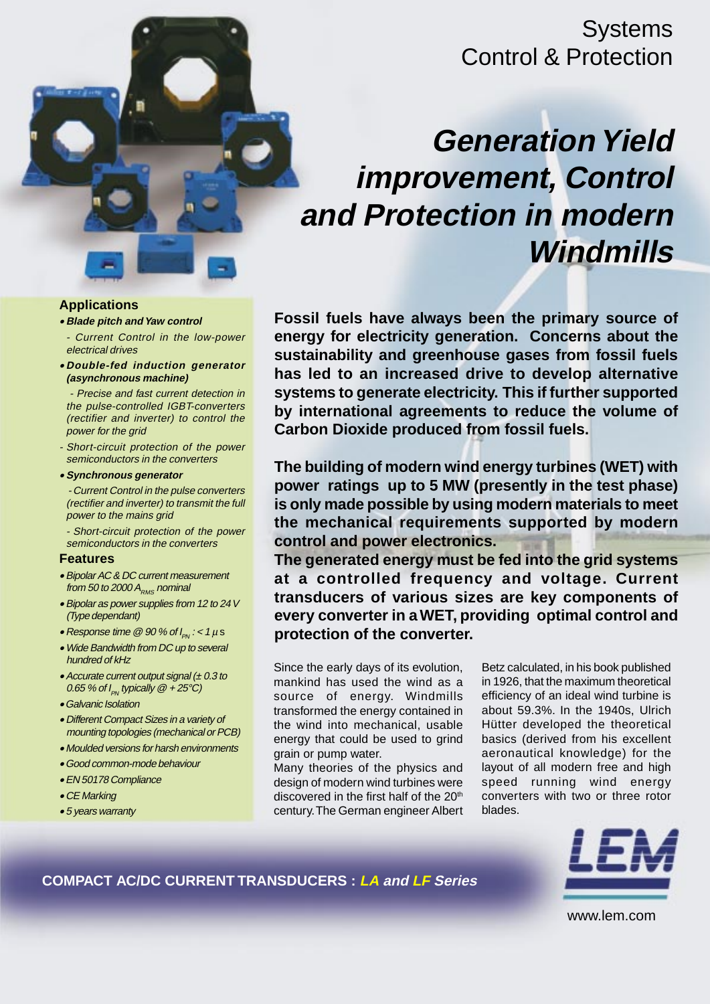## **Systems** Control & Protection

# **Generation Yield improvement, Control and Protection in modern Windmills**

**Applications**

- **Blade pitch and Yaw control**
- Current Control in the low-power electrical drives
- **Double-fed induction generator (asynchronous machine)**

- Precise and fast current detection in the pulse-controlled IGBT-converters (rectifier and inverter) to control the power for the grid

- Short-circuit protection of the power semiconductors in the converters
- **Synchronous generator**

- Current Control in the pulse converters (rectifier and inverter) to transmit the full power to the mains grid

- Short-circuit protection of the power semiconductors in the converters

#### **Features**

- Bipolar AC & DC current measurement from 50 to 2000  $A_{RMS}$  nominal
- Bipolar as power supplies from 12 to 24 V (Type dependant)
- Response time  $\mathcal Q$  90 % of  $I_{PN}$ : < 1  $\mu$  s
- Wide Bandwidth from DC up to several hundred of kHz
- Accurate current output signal  $(± 0.3$  to 0.65 % of  $I_{PN}$  typically  $@ + 25°C$ )
- Galvanic Isolation
- Different Compact Sizes in a variety of mounting topologies (mechanical or PCB)
- Moulded versions for harsh environments
- Good common-mode behaviour
- EN 50178 Compliance
- CE Marking
- 5 years warranty

**Fossil fuels have always been the primary source of energy for electricity generation. Concerns about the sustainability and greenhouse gases from fossil fuels has led to an increased drive to develop alternative systems to generate electricity. This if further supported by international agreements to reduce the volume of Carbon Dioxide produced from fossil fuels.**

**The building of modern wind energy turbines (WET) with power ratings up to 5 MW (presently in the test phase) is only made possible by using modern materials to meet the mechanical requirements supported by modern control and power electronics.**

**The generated energy must be fed into the grid systems at a controlled frequency and voltage. Current transducers of various sizes are key components of every converter in a WET, providing optimal control and protection of the converter.**

Since the early days of its evolution, mankind has used the wind as a source of energy. Windmills transformed the energy contained in the wind into mechanical, usable energy that could be used to grind grain or pump water.

Many theories of the physics and design of modern wind turbines were discovered in the first half of the 20<sup>th</sup> century. The German engineer Albert

Betz calculated, in his book published in 1926, that the maximum theoretical efficiency of an ideal wind turbine is about 59.3%. In the 1940s, Ulrich Hütter developed the theoretical basics (derived from his excellent aeronautical knowledge) for the layout of all modern free and high speed running wind energy converters with two or three rotor blades.



**COMPACT AC/DC CURRENT TRANSDUCERS : LA and LF Series**

www.lem.com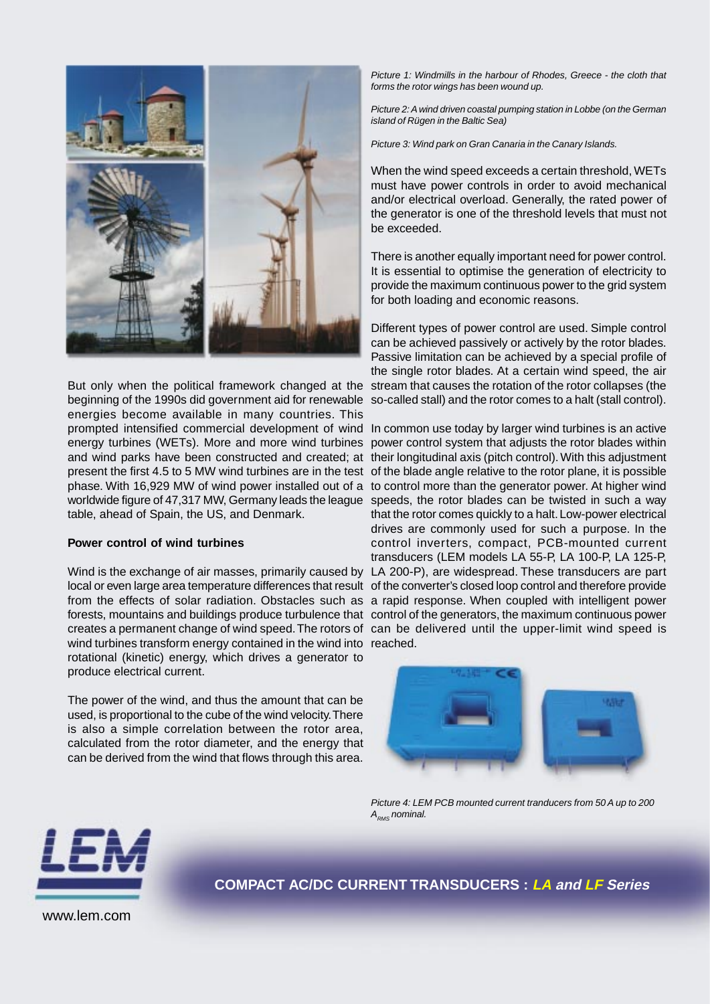

But only when the political framework changed at the stream that causes the rotation of the rotor collapses (the beginning of the 1990s did government aid for renewable so-called stall) and the rotor comes to a halt (stall control). energies become available in many countries. This prompted intensified commercial development of wind In common use today by larger wind turbines is an active energy turbines (WETs). More and more wind turbines power control system that adjusts the rotor blades within and wind parks have been constructed and created; at their longitudinal axis (pitch control). With this adjustment present the first 4.5 to 5 MW wind turbines are in the test of the blade angle relative to the rotor plane, it is possible phase. With 16,929 MW of wind power installed out of a to control more than the generator power. At higher wind worldwide figure of 47,317 MW, Germany leads the league speeds, the rotor blades can be twisted in such a way table, ahead of Spain, the US, and Denmark.

### **Power control of wind turbines**

Wind is the exchange of air masses, primarily caused by LA 200-P), are widespread. These transducers are part local or even large area temperature differences that result of the converter's closed loop control and therefore provide from the effects of solar radiation. Obstacles such as a rapid response. When coupled with intelligent power forests, mountains and buildings produce turbulence that control of the generators, the maximum continuous power creates a permanent change of wind speed. The rotors of can be delivered until the upper-limit wind speed is wind turbines transform energy contained in the wind into reached. rotational (kinetic) energy, which drives a generator to produce electrical current.

The power of the wind, and thus the amount that can be used, is proportional to the cube of the wind velocity. There is also a simple correlation between the rotor area, calculated from the rotor diameter, and the energy that can be derived from the wind that flows through this area.

*Picture 1: Windmills in the harbour of Rhodes, Greece - the cloth that forms the rotor wings has been wound up.*

*Picture 2: A wind driven coastal pumping station in Lobbe (on the German island of Rügen in the Baltic Sea)*

*Picture 3: Wind park on Gran Canaria in the Canary Islands.*

When the wind speed exceeds a certain threshold, WETs must have power controls in order to avoid mechanical and/or electrical overload. Generally, the rated power of the generator is one of the threshold levels that must not be exceeded.

There is another equally important need for power control. It is essential to optimise the generation of electricity to provide the maximum continuous power to the grid system for both loading and economic reasons.

Different types of power control are used. Simple control can be achieved passively or actively by the rotor blades. Passive limitation can be achieved by a special profile of the single rotor blades. At a certain wind speed, the air

that the rotor comes quickly to a halt. Low-power electrical drives are commonly used for such a purpose. In the control inverters, compact, PCB-mounted current transducers (LEM models LA 55-P, LA 100-P, LA 125-P,



*Picture 4: LEM PCB mounted current tranducers from 50 A up to 200 ARMS nominal.*



**COMPACT AC/DC CURRENT TRANSDUCERS : LA and LF Series**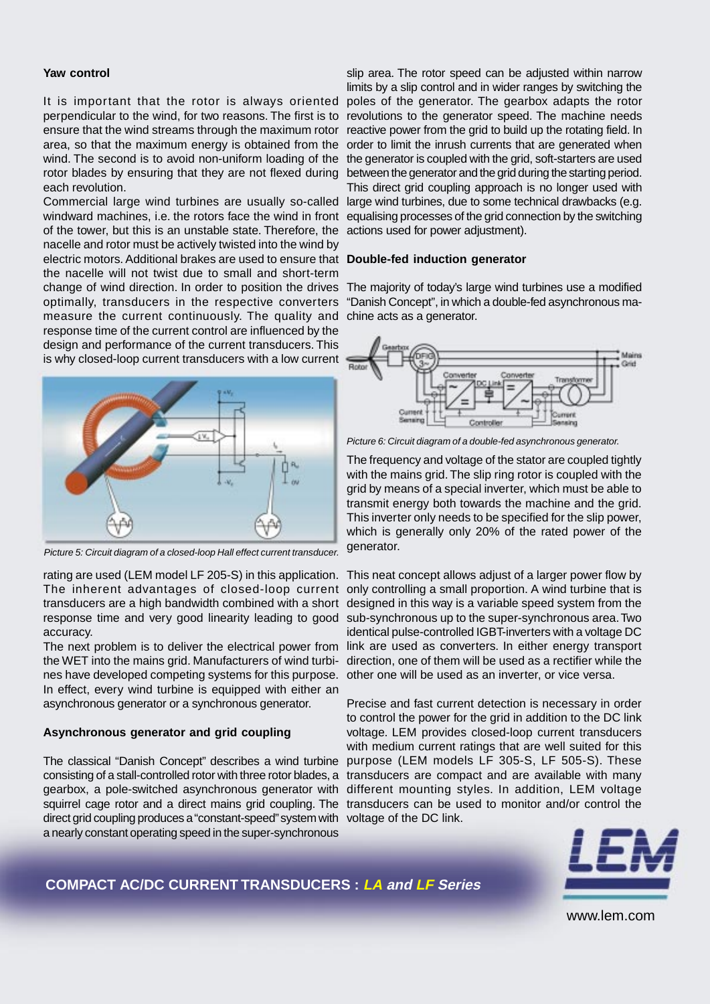#### **Yaw control**

It is important that the rotor is always oriented perpendicular to the wind, for two reasons. The first is to revolutions to the generator speed. The machine needs ensure that the wind streams through the maximum rotor area, so that the maximum energy is obtained from the wind. The second is to avoid non-uniform loading of the rotor blades by ensuring that they are not flexed during each revolution.

Commercial large wind turbines are usually so-called windward machines, i.e. the rotors face the wind in front equalising processes of the grid connection by the switching of the tower, but this is an unstable state. Therefore, the nacelle and rotor must be actively twisted into the wind by electric motors. Additional brakes are used to ensure that **Double-fed induction generator** the nacelle will not twist due to small and short-term change of wind direction. In order to position the drives optimally, transducers in the respective converters measure the current continuously. The quality and response time of the current control are influenced by the design and performance of the current transducers. This is why closed-loop current transducers with a low current



*Picture 5: Circuit diagram of a closed-loop Hall effect current transducer.*

The inherent advantages of closed-loop current transducers are a high bandwidth combined with a short designed in this way is a variable speed system from the response time and very good linearity leading to good sub-synchronous up to the super-synchronous area. Two accuracy.

The next problem is to deliver the electrical power from the WET into the mains grid. Manufacturers of wind turbines have developed competing systems for this purpose. In effect, every wind turbine is equipped with either an asynchronous generator or a synchronous generator.

#### **Asynchronous generator and grid coupling**

consisting of a stall-controlled rotor with three rotor blades, a transducers are compact and are available with many gearbox, a pole-switched asynchronous generator with different mounting styles. In addition, LEM voltage squirrel cage rotor and a direct mains grid coupling. The transducers can be used to monitor and/or control the direct grid coupling produces a "constant-speed" system with voltage of the DC link. a nearly constant operating speed in the super-synchronous

slip area. The rotor speed can be adjusted within narrow limits by a slip control and in wider ranges by switching the poles of the generator. The gearbox adapts the rotor reactive power from the grid to build up the rotating field. In order to limit the inrush currents that are generated when the generator is coupled with the grid, soft-starters are used between the generator and the grid during the starting period. This direct grid coupling approach is no longer used with large wind turbines, due to some technical drawbacks (e.g. actions used for power adjustment).

The majority of today's large wind turbines use a modified "Danish Concept", in which a double-fed asynchronous machine acts as a generator.



*Picture 6: Circuit diagram of a double-fed asynchronous generator.*

The frequency and voltage of the stator are coupled tightly with the mains grid. The slip ring rotor is coupled with the grid by means of a special inverter, which must be able to transmit energy both towards the machine and the grid. This inverter only needs to be specified for the slip power, which is generally only 20% of the rated power of the generator.

rating are used (LEM model LF 205-S) in this application. This neat concept allows adjust of a larger power flow by only controlling a small proportion. A wind turbine that is identical pulse-controlled IGBT-inverters with a voltage DC link are used as converters. In either energy transport direction, one of them will be used as a rectifier while the other one will be used as an inverter, or vice versa.

The classical "Danish Concept" describes a wind turbine purpose (LEM models LF 305-S, LF 505-S). These Precise and fast current detection is necessary in order to control the power for the grid in addition to the DC link voltage. LEM provides closed-loop current transducers with medium current ratings that are well suited for this



**COMPACT AC/DC CURRENT TRANSDUCERS : LA and LF Series**

www.lem.com